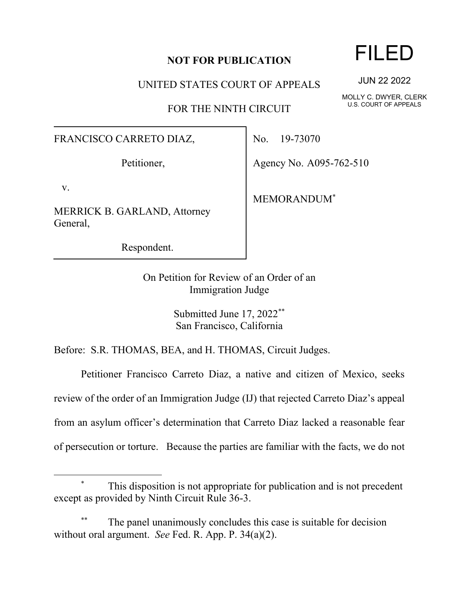## **NOT FOR PUBLICATION**

UNITED STATES COURT OF APPEALS

FOR THE NINTH CIRCUIT

## FRANCISCO CARRETO DIAZ,

Petitioner,

v.

MERRICK B. GARLAND, Attorney General,

Respondent.

No. 19-73070

Agency No. A095-762-510

MEMORANDUM\*

On Petition for Review of an Order of an Immigration Judge

> Submitted June 17, 2022\*\* San Francisco, California

Before: S.R. THOMAS, BEA, and H. THOMAS, Circuit Judges.

Petitioner Francisco Carreto Diaz, a native and citizen of Mexico, seeks review of the order of an Immigration Judge (IJ) that rejected Carreto Diaz's appeal from an asylum officer's determination that Carreto Diaz lacked a reasonable fear of persecution or torture. Because the parties are familiar with the facts, we do not

## FILED

JUN 22 2022

MOLLY C. DWYER, CLERK U.S. COURT OF APPEALS

This disposition is not appropriate for publication and is not precedent except as provided by Ninth Circuit Rule 36-3.

The panel unanimously concludes this case is suitable for decision without oral argument. *See* Fed. R. App. P. 34(a)(2).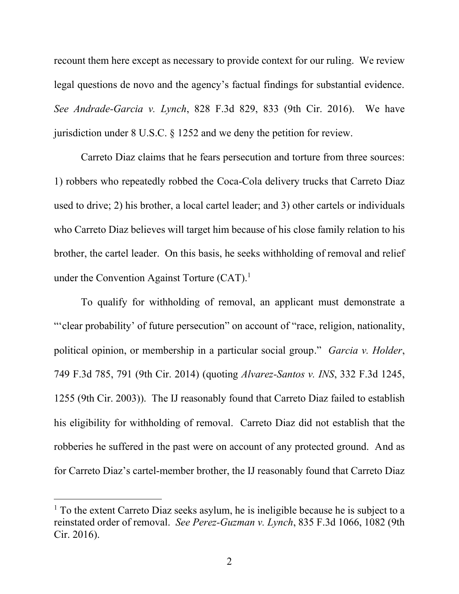recount them here except as necessary to provide context for our ruling. We review legal questions de novo and the agency's factual findings for substantial evidence. *See Andrade-Garcia v. Lynch*, 828 F.3d 829, 833 (9th Cir. 2016). We have jurisdiction under 8 U.S.C. § 1252 and we deny the petition for review.

Carreto Diaz claims that he fears persecution and torture from three sources: 1) robbers who repeatedly robbed the Coca-Cola delivery trucks that Carreto Diaz used to drive; 2) his brother, a local cartel leader; and 3) other cartels or individuals who Carreto Diaz believes will target him because of his close family relation to his brother, the cartel leader. On this basis, he seeks withholding of removal and relief under the Convention Against Torture  $(CAT)^{1}$ .

To qualify for withholding of removal, an applicant must demonstrate a "'clear probability' of future persecution" on account of "race, religion, nationality, political opinion, or membership in a particular social group." *Garcia v. Holder*, 749 F.3d 785, 791 (9th Cir. 2014) (quoting *Alvarez-Santos v. INS*, 332 F.3d 1245, 1255 (9th Cir. 2003)). The IJ reasonably found that Carreto Diaz failed to establish his eligibility for withholding of removal. Carreto Diaz did not establish that the robberies he suffered in the past were on account of any protected ground. And as for Carreto Diaz's cartel-member brother, the IJ reasonably found that Carreto Diaz

 $1$  To the extent Carreto Diaz seeks asylum, he is ineligible because he is subject to a reinstated order of removal. *See Perez-Guzman v. Lynch*, 835 F.3d 1066, 1082 (9th Cir. 2016).